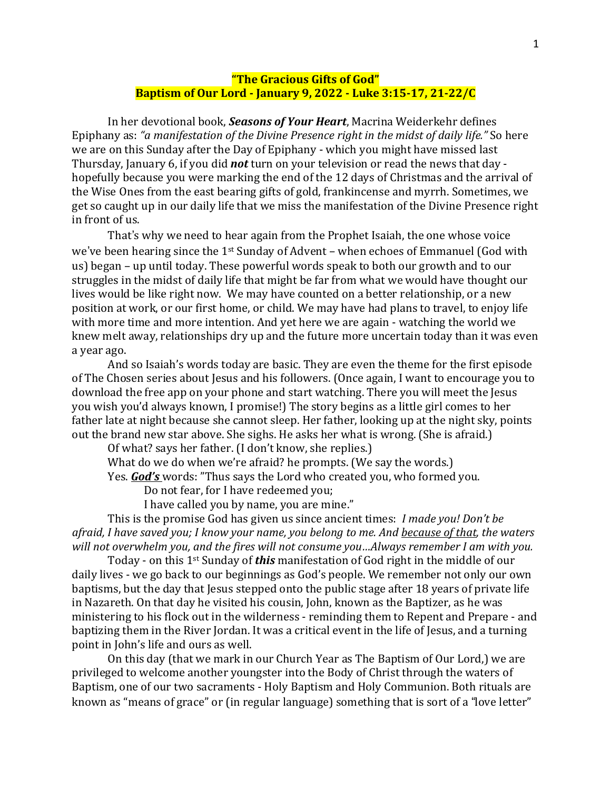## **"The Gracious Gifts of God" Baptism of Our Lord - January 9, 2022 - Luke 3:15-17, 21-22/C**

In her devotional book, *Seasons of Your Heart*, Macrina Weiderkehr defines Epiphany as: *"a manifestation of the Divine Presence right in the midst of daily life."* So here we are on this Sunday after the Day of Epiphany - which you might have missed last Thursday, January 6, if you did *not* turn on your television or read the news that day hopefully because you were marking the end of the 12 days of Christmas and the arrival of the Wise Ones from the east bearing gifts of gold, frankincense and myrrh. Sometimes, we get so caught up in our daily life that we miss the manifestation of the Divine Presence right in front of us.

That's why we need to hear again from the Prophet Isaiah, the one whose voice we've been hearing since the 1<sup>st</sup> Sunday of Advent - when echoes of Emmanuel (God with us) began – up until today. These powerful words speak to both our growth and to our struggles in the midst of daily life that might be far from what we would have thought our lives would be like right now. We may have counted on a better relationship, or a new position at work, or our first home, or child. We may have had plans to travel, to enjoy life with more time and more intention. And yet here we are again - watching the world we knew melt away, relationships dry up and the future more uncertain today than it was even a year ago.

And so Isaiah's words today are basic. They are even the theme for the first episode of The Chosen series about Jesus and his followers. (Once again, I want to encourage you to download the free app on your phone and start watching. There you will meet the Jesus you wish you'd always known, I promise!) The story begins as a little girl comes to her father late at night because she cannot sleep. Her father, looking up at the night sky, points out the brand new star above. She sighs. He asks her what is wrong. (She is afraid.)

Of what? says her father. (I don't know, she replies.)

What do we do when we're afraid? he prompts. (We say the words.) Yes. *God's* words: "Thus says the Lord who created you, who formed you.

Do not fear, for I have redeemed you;

I have called you by name, you are mine."

This is the promise God has given us since ancient times: *I made you! Don't be* afraid, I have saved you; I know your name, you belong to me. And because of that, the waters *will not overwhelm you, and the fires will not consume you…Always remember I am with you.*

Today - on this 1st Sunday of *this* manifestation of God right in the middle of our daily lives - we go back to our beginnings as God's people. We remember not only our own baptisms, but the day that Jesus stepped onto the public stage after 18 years of private life in Nazareth. On that day he visited his cousin, John, known as the Baptizer, as he was ministering to his flock out in the wilderness - reminding them to Repent and Prepare - and baptizing them in the River Jordan. It was a critical event in the life of Jesus, and a turning point in John's life and ours as well.

On this day (that we mark in our Church Year as The Baptism of Our Lord,) we are privileged to welcome another youngster into the Body of Christ through the waters of Baptism, one of our two sacraments - Holy Baptism and Holy Communion. Both rituals are known as "means of grace" or (in regular language) something that is sort of a "love letter"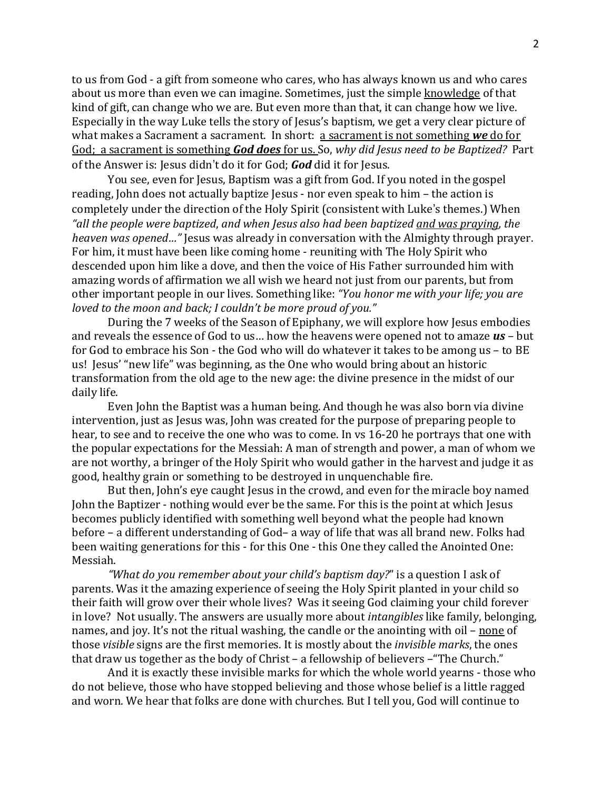to us from God - a gift from someone who cares, who has always known us and who cares about us more than even we can imagine. Sometimes, just the simple knowledge of that kind of gift, can change who we are. But even more than that, it can change how we live. Especially in the way Luke tells the story of Jesus's baptism, we get a very clear picture of what makes a Sacrament a sacrament. In short: a sacrament is not something we do for God; a sacrament is something *God does* for us. So, *why did Jesus need to be Baptized?* Part of the Answer is: Jesus didn't do it for God; **God** did it for Jesus.

You see, even for Jesus, Baptism was a gift from God. If you noted in the gospel reading, John does not actually baptize Jesus - nor even speak to him – the action is completely under the direction of the Holy Spirit (consistent with Luke's themes.) When *"all the people were baptized*, *and when Jesus also had been baptized and was praying, the heaven was opened…"* Jesus was already in conversation with the Almighty through prayer. For him, it must have been like coming home - reuniting with The Holy Spirit who descended upon him like a dove, and then the voice of His Father surrounded him with amazing words of affirmation we all wish we heard not just from our parents, but from other important people in our lives. Something like: *"You honor me with your life; you are loved to the moon and back; I couldn't be more proud of you."*

During the 7 weeks of the Season of Epiphany, we will explore how Jesus embodies and reveals the essence of God to us… how the heavens were opened not to amaze *us* – but for God to embrace his Son - the God who will do whatever it takes to be among us – to BE us! Jesus' "new life" was beginning, as the One who would bring about an historic transformation from the old age to the new age: the divine presence in the midst of our daily life.

Even John the Baptist was a human being. And though he was also born via divine intervention, just as Jesus was, John was created for the purpose of preparing people to hear, to see and to receive the one who was to come. In vs 16-20 he portrays that one with the popular expectations for the Messiah: A man of strength and power, a man of whom we are not worthy, a bringer of the Holy Spirit who would gather in the harvest and judge it as good, healthy grain or something to be destroyed in unquenchable fire.

But then, John's eye caught Jesus in the crowd, and even for the miracle boy named John the Baptizer - nothing would ever be the same. For this is the point at which Jesus becomes publicly identified with something well beyond what the people had known before – a different understanding of God– a way of life that was all brand new. Folks had been waiting generations for this - for this One - this One they called the Anointed One: Messiah.

*"What do you remember about your child's baptism day?*" is a question I ask of parents. Was it the amazing experience of seeing the Holy Spirit planted in your child so their faith will grow over their whole lives? Was it seeing God claiming your child forever in love? Not usually. The answers are usually more about *intangibles* like family, belonging, names, and joy. It's not the ritual washing, the candle or the anointing with oil – none of those *visible* signs are the first memories. It is mostly about the *invisible marks*, the ones that draw us together as the body of Christ – a fellowship of believers –"The Church."

And it is exactly these invisible marks for which the whole world yearns - those who do not believe, those who have stopped believing and those whose belief is a little ragged and worn. We hear that folks are done with churches. But I tell you, God will continue to